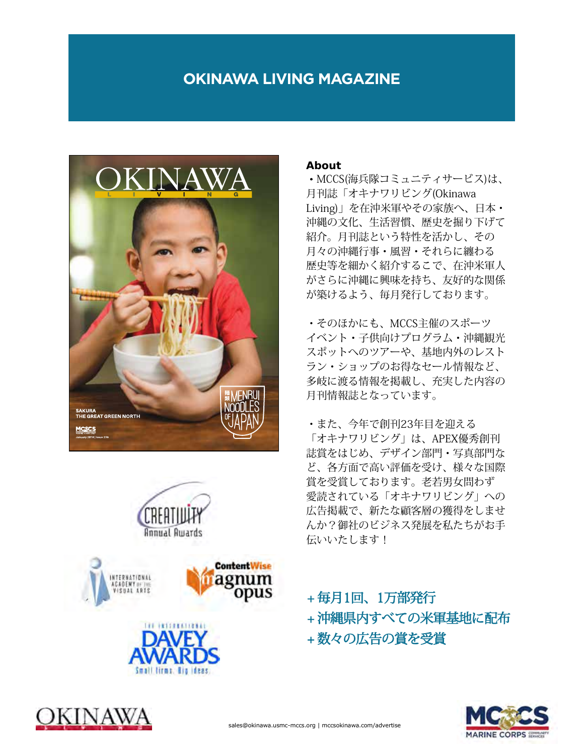## **OKINAWA LIVING MAGAZINE**









OKINAW/

#### **About**

・MCCS(海兵隊コミュニティサービス)は、 月刊誌「オキナワリビング(Okinawa Living)」を在沖米軍やその家族へ、日本・ 沖縄の文化、生活習慣、歴史を掘り下げて 紹介。月刊誌という特性を活かし、その 月々の沖縄行事・風習・それらに纏わる 歴史等を細かく紹介するこで、在沖米軍人 がさらに沖縄に興味を持ち、友好的な関係 が築けるよう、毎月発行しております。

・そのほかにも、MCCS主催のスポーツ イベント・子供向けプログラム・沖縄観光 スポットへのツアーや、基地内外のレスト ラン・ショップのお得なセール情報など、 多岐に渡る情報を掲載し、充実した内容の 月刊情報誌となっています。

・また、今年で創刊23年目を迎える 「オキナワリビング」は、APEX優秀創刊 誌賞をはじめ、デザイン部門・写真部門な ど、各方面で高い評価を受け、様々な国際 賞を受賞しております。老若男女問わず 愛読されている「オキナワリビング」への 広告掲載で、新たな顧客層の獲得をしませ んか?御社のビジネス発展を私たちがお手 伝いいたします!

+ 毎月1回、1万部発行 + 沖縄県内すべての米軍基地に配布 + 数々の広告の賞を受賞

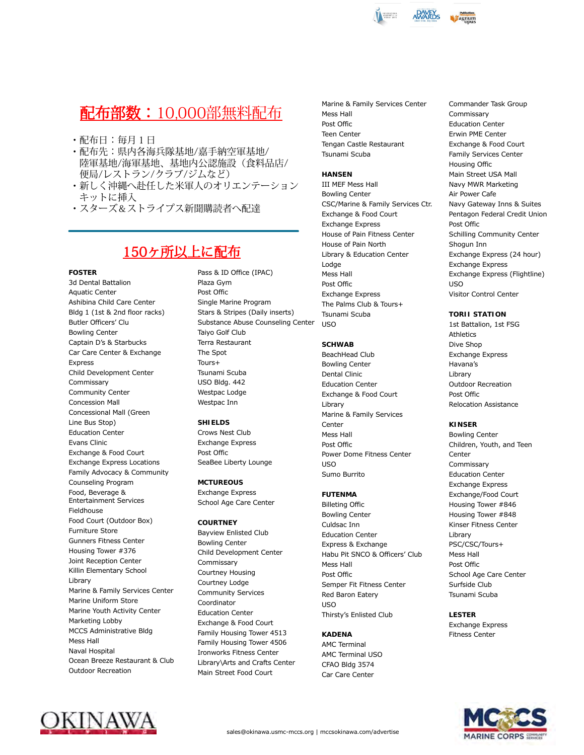

# 配布部数:10,000部無料配布

- ・配布日:毎月1日
- ・配布先:県内各海兵隊基地/嘉手納空軍基地/ 陸軍基地/海軍基地、基地内公認施設(食料品店/ 便局/レストラン/クラブ/ジムなど)
- ・新しく沖縄へ赴任した米軍人のオリエンテーション キットに挿入
- ・スターズ&ストライプス新聞購読者へ配達

## 150ヶ所以上に配布

#### **FOSTER**

3d Dental Battalion Aquatic Center Ashibina Child Care Center Bldg 1 (1st & 2nd floor racks) Butler Officers' Clu Bowling Center Captain D's & Starbucks Car Care Center & Exchange Express Child Development Center Commissary Community Center Concession Mall Concessional Mall (Green Line Bus Stop) Education Center Evans Clinic Exchange & Food Court Exchange Express Locations Family Advocacy & Community Counseling Program Food, Beverage & Entertainment Services Fieldhouse Food Court (Outdoor Box) Furniture Store Gunners Fitness Center Housing Tower #376 Joint Reception Center Killin Elementary School Library Marine & Family Services Center Marine Uniform Store Marine Youth Activity Center Marketing Lobby MCCS Administrative Bldg Mess Hall Naval Hospital Ocean Breeze Restaurant & Club Outdoor Recreation

Pass & ID Office (IPAC) Plaza Gym Post Offic Single Marine Program Stars & Stripes (Daily inserts) Substance Abuse Counseling Center Taiyo Golf Club Terra Restaurant The Spot Tours+ Tsunami Scuba USO Bldg. 442 Westpac Lodge Westpac Inn

**SHIELDS** Crows Nest Club Exchange Express Post Offic SeaBee Liberty Lounge

**MCTUREOUS** Exchange Express School Age Care Center

**COURTNEY** Bayview Enlisted Club Bowling Center Child Development Center Commissary Courtney Housing Courtney Lodge Community Services Coordinator Education Center Exchange & Food Court Family Housing Tower 4513 Family Housing Tower 4506 Ironworks Fitness Center Library\Arts and Crafts Center Main Street Food Court

Marine & Family Services Center Mess Hall Post Offic Teen Center Tengan Castle Restaurant Tsunami Scuba

#### **HANSEN**

III MEF Mess Hall Bowling Center CSC/Marine & Family Services Ctr. Exchange & Food Court Exchange Express House of Pain Fitness Center House of Pain North Library & Education Center Lodge Mess Hall Post Offic Exchange Express The Palms Club & Tours+ Tsunami Scuba USO

#### **SCHWAB**

BeachHead Club Bowling Center Dental Clinic Education Center Exchange & Food Court Library Marine & Family Services **Center** Mess Hall Post Offic Power Dome Fitness Center USO Sumo Burrito

**FUTENMA** Billeting Offic Bowling Center Culdsac Inn Education Center Express & Exchange Habu Pit SNCO & Officers' Club Mess Hall Post Offic Semper Fit Fitness Center Red Baron Eatery USO Thirsty's Enlisted Club

**KADENA** AMC Terminal AMC Terminal USO CFAO Bldg 3574 Car Care Center

Commander Task Group Commissary Education Center Erwin PME Center Exchange & Food Court Family Services Center Housing Offic Main Street USA Mall Navy MWR Marketing Air Power Cafe Navy Gateway Inns & Suites Pentagon Federal Credit Union Post Offic Schilling Community Center Shogun Inn Exchange Express (24 hour) Exchange Express Exchange Express (Flightline) USO Visitor Control Center

#### **TORII STATION** 1st Battalion, 1st FSG Athletics Dive Shop Exchange Express Havana's Library Outdoor Recreation Post Offic Relocation Assistance

**KINSER** Bowling Center Children, Youth, and Teen Center Commissary Education Center Exchange Express Exchange/Food Court Housing Tower #846 Housing Tower #848 Kinser Fitness Center Library PSC/CSC/Tours+ Mess Hall Post Offic School Age Care Center Surfside Club Tsunami Scuba

**LESTER** Exchange Express Fitness Center



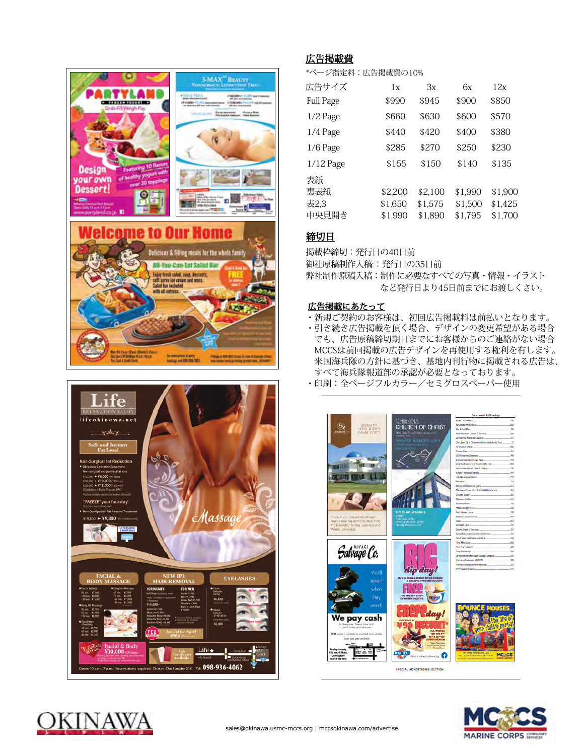



### 広告掲載費

\*ページ指定料:広告掲載費の10%

| 6x                            | 12x                           |
|-------------------------------|-------------------------------|
| \$900                         | \$850                         |
| \$600                         | \$570                         |
| \$400                         | \$380                         |
| \$250                         | \$230                         |
| \$140                         | \$135                         |
| \$1.990<br>\$1,500<br>\$1.795 | \$1,900<br>\$1,425<br>\$1,700 |
|                               |                               |

### 締切日

掲載枠締切:発行日の40日前

御社原稿制作入稿:: 発行日の35日前

弊社制作原稿入稿:制作に必要なすべての写真・情報・イラスト など発行日より45日前までにお渡しくさい。

#### 広告掲載にあたって

- ・新規ご契約のお客様は、初回広告掲載料は前払いとなります。
- ・引き続き広告掲載を頂く場合、デザインの変更希望がある場合 でも、広告原稿締切期日までにお客様からのご連絡がない場合 MCCSは前回掲載の広告デザインを再使用する権利を有します。 米国海兵隊の方針に基づき、基地内刊行物に掲載される広告は、 すべて海兵隊報道部の承認が必要となっております。
- ・印刷:全ページフルカラー/セミグロスぺーパー使用